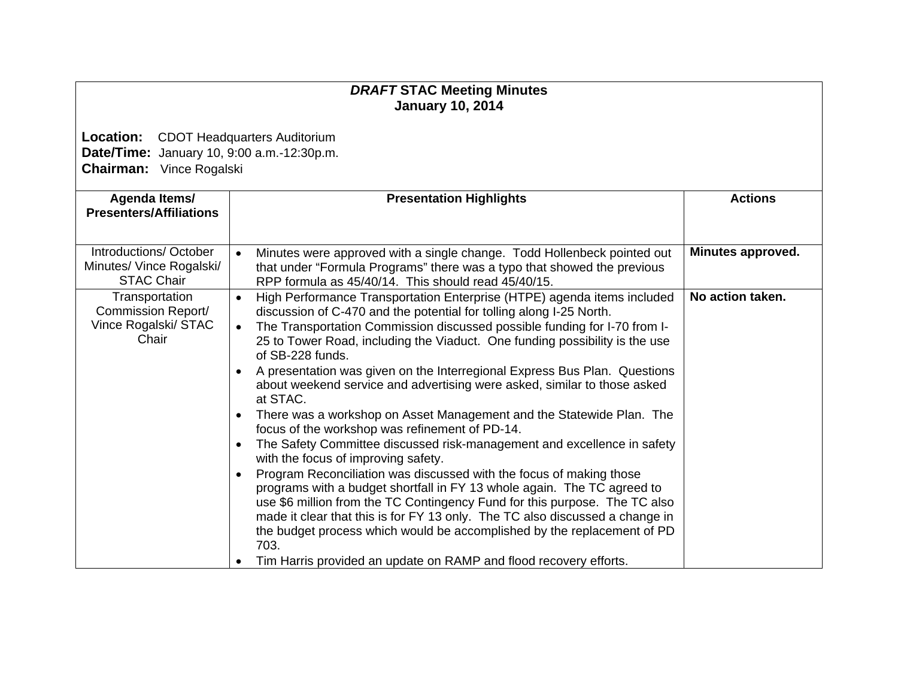## *DRAFT* **STAC Meeting Minutes January 10, 2014**

**Location:** CDOT Headquarters Auditorium **Date/Time:** January 10, 9:00 a.m.-12:30p.m. **Chairman:** Vince Rogalski

| Agenda Items/                                     | <b>Presentation Highlights</b>                                                                                                                                                 | <b>Actions</b>    |
|---------------------------------------------------|--------------------------------------------------------------------------------------------------------------------------------------------------------------------------------|-------------------|
| <b>Presenters/Affiliations</b>                    |                                                                                                                                                                                |                   |
|                                                   |                                                                                                                                                                                |                   |
| Introductions/October<br>Minutes/ Vince Rogalski/ | Minutes were approved with a single change. Todd Hollenbeck pointed out<br>$\bullet$                                                                                           | Minutes approved. |
| <b>STAC Chair</b>                                 | that under "Formula Programs" there was a typo that showed the previous<br>RPP formula as 45/40/14. This should read 45/40/15.                                                 |                   |
| Transportation                                    | High Performance Transportation Enterprise (HTPE) agenda items included<br>$\bullet$                                                                                           | No action taken.  |
| Commission Report/                                | discussion of C-470 and the potential for tolling along I-25 North.                                                                                                            |                   |
| Vince Rogalski/ STAC<br>Chair                     | The Transportation Commission discussed possible funding for I-70 from I-<br>$\bullet$                                                                                         |                   |
|                                                   | 25 to Tower Road, including the Viaduct. One funding possibility is the use<br>of SB-228 funds.                                                                                |                   |
|                                                   | A presentation was given on the Interregional Express Bus Plan. Questions<br>$\bullet$<br>about weekend service and advertising were asked, similar to those asked<br>at STAC. |                   |
|                                                   | There was a workshop on Asset Management and the Statewide Plan. The<br>$\bullet$<br>focus of the workshop was refinement of PD-14.                                            |                   |
|                                                   | The Safety Committee discussed risk-management and excellence in safety<br>$\bullet$<br>with the focus of improving safety.                                                    |                   |
|                                                   | Program Reconciliation was discussed with the focus of making those<br>$\bullet$<br>programs with a budget shortfall in FY 13 whole again. The TC agreed to                    |                   |
|                                                   | use \$6 million from the TC Contingency Fund for this purpose. The TC also<br>made it clear that this is for FY 13 only. The TC also discussed a change in                     |                   |
|                                                   | the budget process which would be accomplished by the replacement of PD<br>703.                                                                                                |                   |
|                                                   | Tim Harris provided an update on RAMP and flood recovery efforts.                                                                                                              |                   |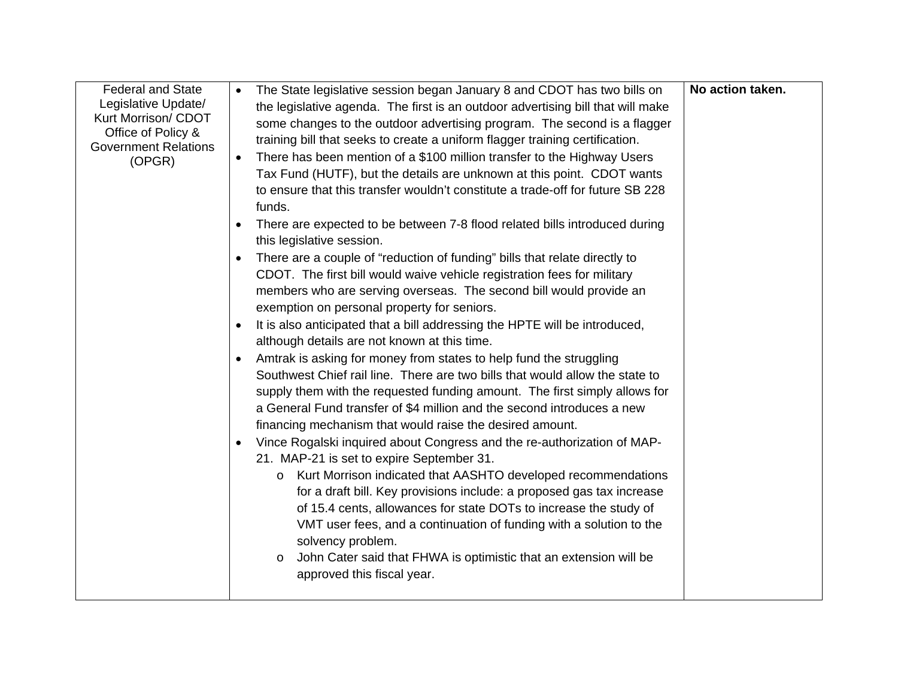| <b>Federal and State</b><br>Legislative Update/<br>Kurt Morrison/ CDOT | The State legislative session began January 8 and CDOT has two bills on<br>the legislative agenda. The first is an outdoor advertising bill that will make                                                                                                                                                                                                                                                                                                                                                                                                                                                                                                                                                                                                                                                                                                                                                                                                                                                                                                                                                                                                                                                                                                                                                                                                                                                                                                                                                                                                                                                                                                                                                                    | No action taken. |
|------------------------------------------------------------------------|-------------------------------------------------------------------------------------------------------------------------------------------------------------------------------------------------------------------------------------------------------------------------------------------------------------------------------------------------------------------------------------------------------------------------------------------------------------------------------------------------------------------------------------------------------------------------------------------------------------------------------------------------------------------------------------------------------------------------------------------------------------------------------------------------------------------------------------------------------------------------------------------------------------------------------------------------------------------------------------------------------------------------------------------------------------------------------------------------------------------------------------------------------------------------------------------------------------------------------------------------------------------------------------------------------------------------------------------------------------------------------------------------------------------------------------------------------------------------------------------------------------------------------------------------------------------------------------------------------------------------------------------------------------------------------------------------------------------------------|------------------|
| Office of Policy &<br><b>Government Relations</b><br>(OPGR)            | some changes to the outdoor advertising program. The second is a flagger<br>training bill that seeks to create a uniform flagger training certification.<br>There has been mention of a \$100 million transfer to the Highway Users<br>$\bullet$<br>Tax Fund (HUTF), but the details are unknown at this point. CDOT wants<br>to ensure that this transfer wouldn't constitute a trade-off for future SB 228<br>funds.<br>There are expected to be between 7-8 flood related bills introduced during<br>$\bullet$<br>this legislative session.<br>There are a couple of "reduction of funding" bills that relate directly to<br>$\bullet$<br>CDOT. The first bill would waive vehicle registration fees for military<br>members who are serving overseas. The second bill would provide an<br>exemption on personal property for seniors.<br>It is also anticipated that a bill addressing the HPTE will be introduced,<br>$\bullet$<br>although details are not known at this time.<br>Amtrak is asking for money from states to help fund the struggling<br>Southwest Chief rail line. There are two bills that would allow the state to<br>supply them with the requested funding amount. The first simply allows for<br>a General Fund transfer of \$4 million and the second introduces a new<br>financing mechanism that would raise the desired amount.<br>Vince Rogalski inquired about Congress and the re-authorization of MAP-<br>$\bullet$<br>21. MAP-21 is set to expire September 31.<br>Kurt Morrison indicated that AASHTO developed recommendations<br>$\circ$<br>for a draft bill. Key provisions include: a proposed gas tax increase<br>of 15.4 cents, allowances for state DOTs to increase the study of |                  |
|                                                                        | VMT user fees, and a continuation of funding with a solution to the<br>solvency problem.<br>John Cater said that FHWA is optimistic that an extension will be<br>$\circ$<br>approved this fiscal year.                                                                                                                                                                                                                                                                                                                                                                                                                                                                                                                                                                                                                                                                                                                                                                                                                                                                                                                                                                                                                                                                                                                                                                                                                                                                                                                                                                                                                                                                                                                        |                  |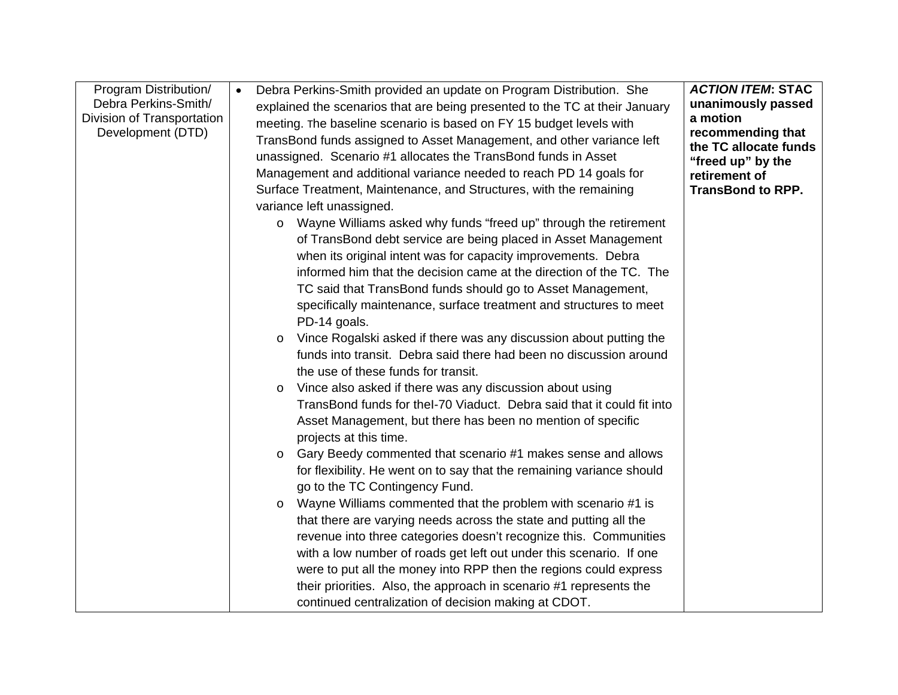| Program Distribution/<br>Debra Perkins-Smith/<br>Division of Transportation<br>Development (DTD) | $\bullet$ | Debra Perkins-Smith provided an update on Program Distribution. She<br>explained the scenarios that are being presented to the TC at their January<br>meeting. The baseline scenario is based on FY 15 budget levels with<br>TransBond funds assigned to Asset Management, and other variance left<br>unassigned. Scenario #1 allocates the TransBond funds in Asset<br>Management and additional variance needed to reach PD 14 goals for<br>Surface Treatment, Maintenance, and Structures, with the remaining<br>variance left unassigned. | <b>ACTION ITEM: STAC</b><br>unanimously passed<br>a motion<br>recommending that<br>the TC allocate funds<br>"freed up" by the<br>retirement of<br><b>TransBond to RPP.</b> |
|--------------------------------------------------------------------------------------------------|-----------|-----------------------------------------------------------------------------------------------------------------------------------------------------------------------------------------------------------------------------------------------------------------------------------------------------------------------------------------------------------------------------------------------------------------------------------------------------------------------------------------------------------------------------------------------|----------------------------------------------------------------------------------------------------------------------------------------------------------------------------|
|                                                                                                  |           | Wayne Williams asked why funds "freed up" through the retirement<br>$\circ$<br>of TransBond debt service are being placed in Asset Management<br>when its original intent was for capacity improvements. Debra<br>informed him that the decision came at the direction of the TC. The<br>TC said that TransBond funds should go to Asset Management,<br>specifically maintenance, surface treatment and structures to meet<br>PD-14 goals.                                                                                                    |                                                                                                                                                                            |
|                                                                                                  |           | Vince Rogalski asked if there was any discussion about putting the<br>$\circ$<br>funds into transit. Debra said there had been no discussion around<br>the use of these funds for transit.                                                                                                                                                                                                                                                                                                                                                    |                                                                                                                                                                            |
|                                                                                                  |           | Vince also asked if there was any discussion about using<br>$\circ$<br>TransBond funds for thel-70 Viaduct. Debra said that it could fit into<br>Asset Management, but there has been no mention of specific<br>projects at this time.                                                                                                                                                                                                                                                                                                        |                                                                                                                                                                            |
|                                                                                                  |           | Gary Beedy commented that scenario #1 makes sense and allows<br>$\circ$<br>for flexibility. He went on to say that the remaining variance should<br>go to the TC Contingency Fund.                                                                                                                                                                                                                                                                                                                                                            |                                                                                                                                                                            |
|                                                                                                  |           | Wayne Williams commented that the problem with scenario #1 is<br>$\circ$<br>that there are varying needs across the state and putting all the<br>revenue into three categories doesn't recognize this. Communities<br>with a low number of roads get left out under this scenario. If one<br>were to put all the money into RPP then the regions could express<br>their priorities. Also, the approach in scenario #1 represents the                                                                                                          |                                                                                                                                                                            |
|                                                                                                  |           | continued centralization of decision making at CDOT.                                                                                                                                                                                                                                                                                                                                                                                                                                                                                          |                                                                                                                                                                            |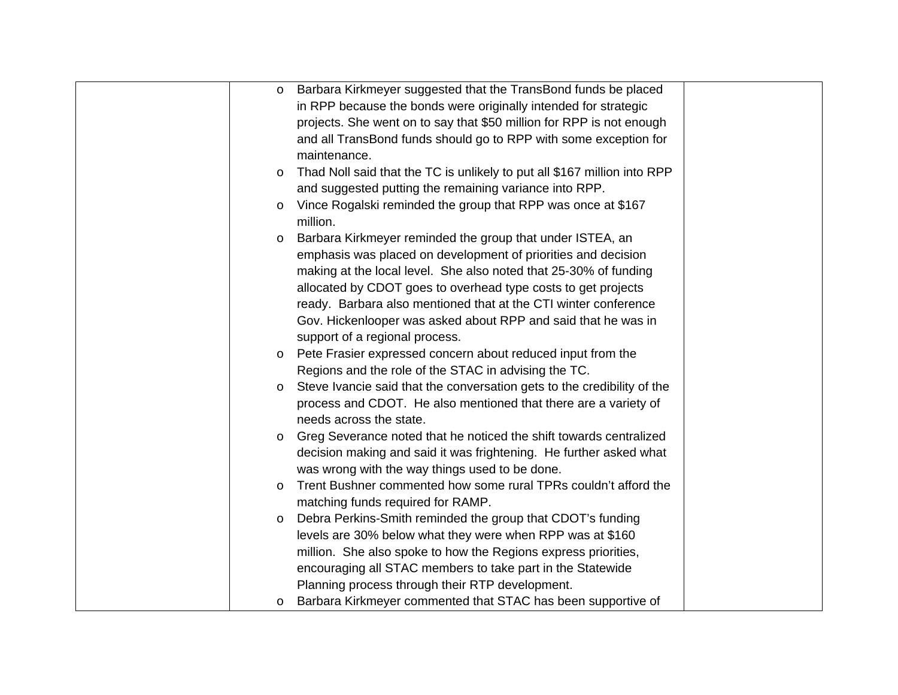| $\circ$ | Barbara Kirkmeyer suggested that the TransBond funds be placed           |  |
|---------|--------------------------------------------------------------------------|--|
|         | in RPP because the bonds were originally intended for strategic          |  |
|         | projects. She went on to say that \$50 million for RPP is not enough     |  |
|         | and all TransBond funds should go to RPP with some exception for         |  |
|         | maintenance.                                                             |  |
| $\circ$ | Thad Noll said that the TC is unlikely to put all \$167 million into RPP |  |
|         | and suggested putting the remaining variance into RPP.                   |  |
| $\circ$ | Vince Rogalski reminded the group that RPP was once at \$167             |  |
|         | million.                                                                 |  |
| $\circ$ | Barbara Kirkmeyer reminded the group that under ISTEA, an                |  |
|         | emphasis was placed on development of priorities and decision            |  |
|         | making at the local level. She also noted that 25-30% of funding         |  |
|         | allocated by CDOT goes to overhead type costs to get projects            |  |
|         | ready. Barbara also mentioned that at the CTI winter conference          |  |
|         | Gov. Hickenlooper was asked about RPP and said that he was in            |  |
|         | support of a regional process.                                           |  |
| $\circ$ | Pete Frasier expressed concern about reduced input from the              |  |
|         | Regions and the role of the STAC in advising the TC.                     |  |
| $\circ$ | Steve Ivancie said that the conversation gets to the credibility of the  |  |
|         | process and CDOT. He also mentioned that there are a variety of          |  |
|         | needs across the state.                                                  |  |
| $\circ$ | Greg Severance noted that he noticed the shift towards centralized       |  |
|         | decision making and said it was frightening. He further asked what       |  |
|         | was wrong with the way things used to be done.                           |  |
| $\circ$ | Trent Bushner commented how some rural TPRs couldn't afford the          |  |
|         | matching funds required for RAMP.                                        |  |
| $\circ$ | Debra Perkins-Smith reminded the group that CDOT's funding               |  |
|         | levels are 30% below what they were when RPP was at \$160                |  |
|         | million. She also spoke to how the Regions express priorities,           |  |
|         | encouraging all STAC members to take part in the Statewide               |  |
|         | Planning process through their RTP development.                          |  |
| $\circ$ | Barbara Kirkmeyer commented that STAC has been supportive of             |  |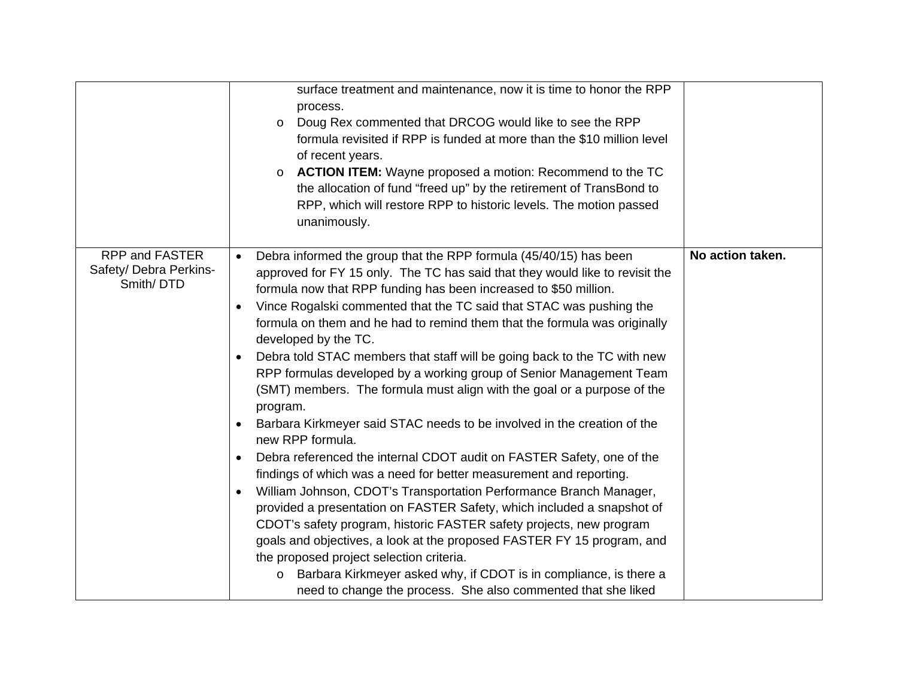|                                                              | surface treatment and maintenance, now it is time to honor the RPP<br>process.<br>Doug Rex commented that DRCOG would like to see the RPP<br>$\circ$<br>formula revisited if RPP is funded at more than the \$10 million level<br>of recent years.<br><b>ACTION ITEM:</b> Wayne proposed a motion: Recommend to the TC<br>$\circ$<br>the allocation of fund "freed up" by the retirement of TransBond to<br>RPP, which will restore RPP to historic levels. The motion passed<br>unanimously.                                                                                                                                                                                                                                                                                                                                                                                                                                                                                                                                                                                                                                                                                                                                                                                                                                                                                                                                                            |                  |
|--------------------------------------------------------------|----------------------------------------------------------------------------------------------------------------------------------------------------------------------------------------------------------------------------------------------------------------------------------------------------------------------------------------------------------------------------------------------------------------------------------------------------------------------------------------------------------------------------------------------------------------------------------------------------------------------------------------------------------------------------------------------------------------------------------------------------------------------------------------------------------------------------------------------------------------------------------------------------------------------------------------------------------------------------------------------------------------------------------------------------------------------------------------------------------------------------------------------------------------------------------------------------------------------------------------------------------------------------------------------------------------------------------------------------------------------------------------------------------------------------------------------------------|------------------|
| <b>RPP and FASTER</b><br>Safety/ Debra Perkins-<br>Smith/DTD | Debra informed the group that the RPP formula (45/40/15) has been<br>$\bullet$<br>approved for FY 15 only. The TC has said that they would like to revisit the<br>formula now that RPP funding has been increased to \$50 million.<br>Vince Rogalski commented that the TC said that STAC was pushing the<br>$\bullet$<br>formula on them and he had to remind them that the formula was originally<br>developed by the TC.<br>Debra told STAC members that staff will be going back to the TC with new<br>RPP formulas developed by a working group of Senior Management Team<br>(SMT) members. The formula must align with the goal or a purpose of the<br>program.<br>Barbara Kirkmeyer said STAC needs to be involved in the creation of the<br>$\bullet$<br>new RPP formula.<br>Debra referenced the internal CDOT audit on FASTER Safety, one of the<br>$\bullet$<br>findings of which was a need for better measurement and reporting.<br>William Johnson, CDOT's Transportation Performance Branch Manager,<br>$\bullet$<br>provided a presentation on FASTER Safety, which included a snapshot of<br>CDOT's safety program, historic FASTER safety projects, new program<br>goals and objectives, a look at the proposed FASTER FY 15 program, and<br>the proposed project selection criteria.<br>Barbara Kirkmeyer asked why, if CDOT is in compliance, is there a<br>$\circ$<br>need to change the process. She also commented that she liked | No action taken. |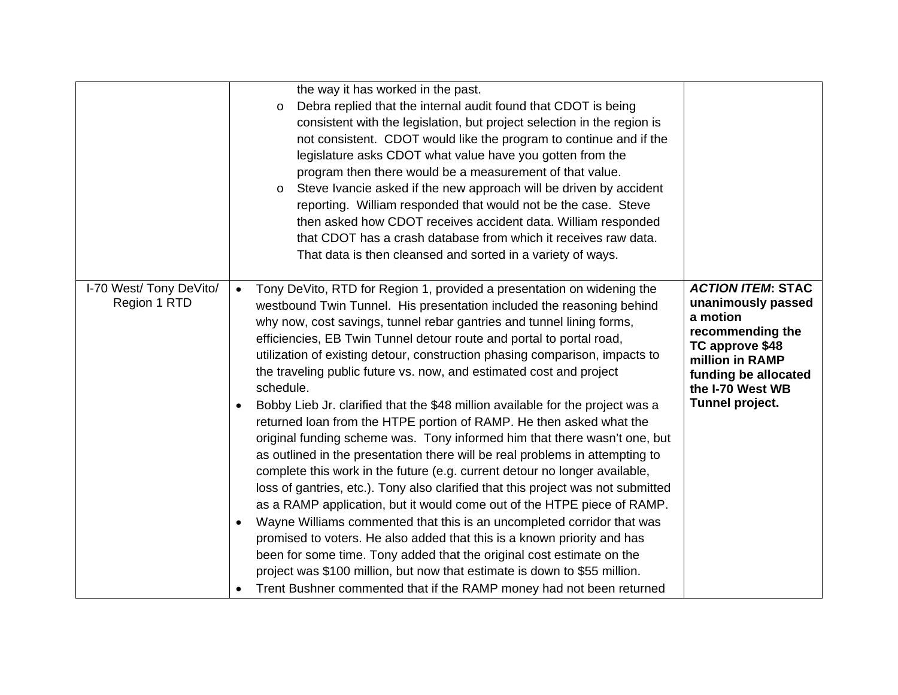|                                         | the way it has worked in the past.<br>Debra replied that the internal audit found that CDOT is being<br>$\circ$<br>consistent with the legislation, but project selection in the region is<br>not consistent. CDOT would like the program to continue and if the<br>legislature asks CDOT what value have you gotten from the<br>program then there would be a measurement of that value.<br>Steve Ivancie asked if the new approach will be driven by accident<br>$\circ$<br>reporting. William responded that would not be the case. Steve<br>then asked how CDOT receives accident data. William responded<br>that CDOT has a crash database from which it receives raw data.<br>That data is then cleansed and sorted in a variety of ways.                                                                                                                                                                                                                                                                                                                                                                                                                                                                                                                                                                                                                                                                                                                  |                                                                                                                                                                                     |
|-----------------------------------------|------------------------------------------------------------------------------------------------------------------------------------------------------------------------------------------------------------------------------------------------------------------------------------------------------------------------------------------------------------------------------------------------------------------------------------------------------------------------------------------------------------------------------------------------------------------------------------------------------------------------------------------------------------------------------------------------------------------------------------------------------------------------------------------------------------------------------------------------------------------------------------------------------------------------------------------------------------------------------------------------------------------------------------------------------------------------------------------------------------------------------------------------------------------------------------------------------------------------------------------------------------------------------------------------------------------------------------------------------------------------------------------------------------------------------------------------------------------|-------------------------------------------------------------------------------------------------------------------------------------------------------------------------------------|
| I-70 West/ Tony DeVito/<br>Region 1 RTD | Tony DeVito, RTD for Region 1, provided a presentation on widening the<br>$\bullet$<br>westbound Twin Tunnel. His presentation included the reasoning behind<br>why now, cost savings, tunnel rebar gantries and tunnel lining forms,<br>efficiencies, EB Twin Tunnel detour route and portal to portal road,<br>utilization of existing detour, construction phasing comparison, impacts to<br>the traveling public future vs. now, and estimated cost and project<br>schedule.<br>Bobby Lieb Jr. clarified that the \$48 million available for the project was a<br>$\bullet$<br>returned loan from the HTPE portion of RAMP. He then asked what the<br>original funding scheme was. Tony informed him that there wasn't one, but<br>as outlined in the presentation there will be real problems in attempting to<br>complete this work in the future (e.g. current detour no longer available,<br>loss of gantries, etc.). Tony also clarified that this project was not submitted<br>as a RAMP application, but it would come out of the HTPE piece of RAMP.<br>Wayne Williams commented that this is an uncompleted corridor that was<br>$\bullet$<br>promised to voters. He also added that this is a known priority and has<br>been for some time. Tony added that the original cost estimate on the<br>project was \$100 million, but now that estimate is down to \$55 million.<br>Trent Bushner commented that if the RAMP money had not been returned | <b>ACTION ITEM: STAC</b><br>unanimously passed<br>a motion<br>recommending the<br>TC approve \$48<br>million in RAMP<br>funding be allocated<br>the I-70 West WB<br>Tunnel project. |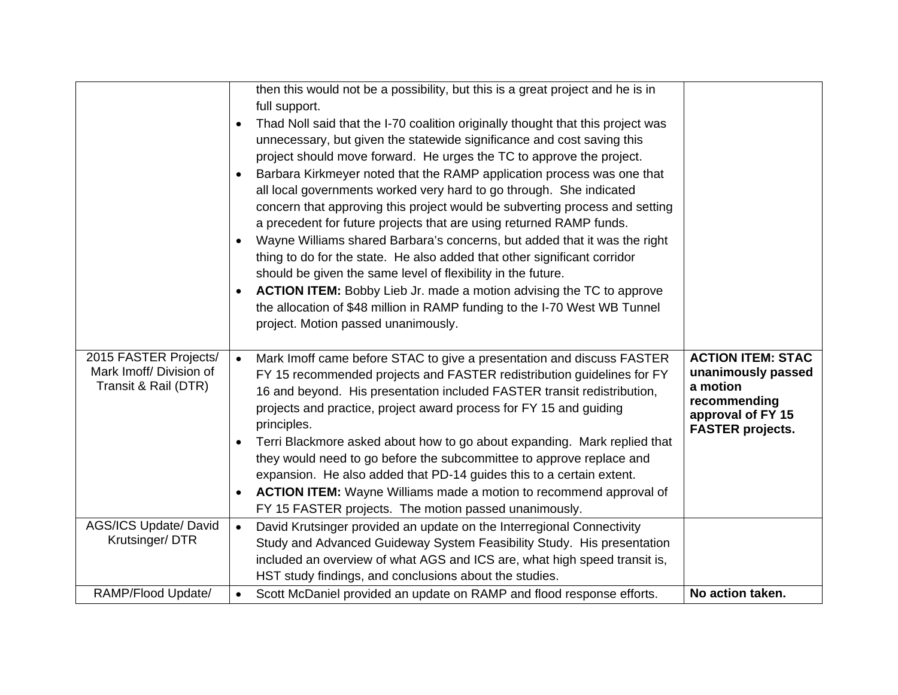| <b>ACTION ITEM:</b> Bobby Lieb Jr. made a motion advising the TC to approve<br>٠<br>the allocation of \$48 million in RAMP funding to the I-70 West WB Tunnel<br>project. Motion passed unanimously.<br>2015 FASTER Projects/<br><b>ACTION ITEM: STAC</b><br>Mark Imoff came before STAC to give a presentation and discuss FASTER<br>$\bullet$                                                                                                                                                                                                                                                                                                                                                                                                                    |
|--------------------------------------------------------------------------------------------------------------------------------------------------------------------------------------------------------------------------------------------------------------------------------------------------------------------------------------------------------------------------------------------------------------------------------------------------------------------------------------------------------------------------------------------------------------------------------------------------------------------------------------------------------------------------------------------------------------------------------------------------------------------|
| Mark Imoff/ Division of<br>unanimously passed<br>FY 15 recommended projects and FASTER redistribution guidelines for FY<br>Transit & Rail (DTR)<br>a motion<br>16 and beyond. His presentation included FASTER transit redistribution,<br>recommending<br>projects and practice, project award process for FY 15 and guiding<br>approval of FY 15<br>principles.<br><b>FASTER projects.</b><br>Terri Blackmore asked about how to go about expanding. Mark replied that<br>٠<br>they would need to go before the subcommittee to approve replace and<br>expansion. He also added that PD-14 guides this to a certain extent.<br><b>ACTION ITEM:</b> Wayne Williams made a motion to recommend approval of<br>FY 15 FASTER projects. The motion passed unanimously. |
| <b>AGS/ICS Update/ David</b><br>David Krutsinger provided an update on the Interregional Connectivity<br>$\bullet$                                                                                                                                                                                                                                                                                                                                                                                                                                                                                                                                                                                                                                                 |
| Krutsinger/DTR<br>Study and Advanced Guideway System Feasibility Study. His presentation                                                                                                                                                                                                                                                                                                                                                                                                                                                                                                                                                                                                                                                                           |
| included an overview of what AGS and ICS are, what high speed transit is,<br>HST study findings, and conclusions about the studies.                                                                                                                                                                                                                                                                                                                                                                                                                                                                                                                                                                                                                                |
| RAMP/Flood Update/<br>No action taken.<br>Scott McDaniel provided an update on RAMP and flood response efforts.                                                                                                                                                                                                                                                                                                                                                                                                                                                                                                                                                                                                                                                    |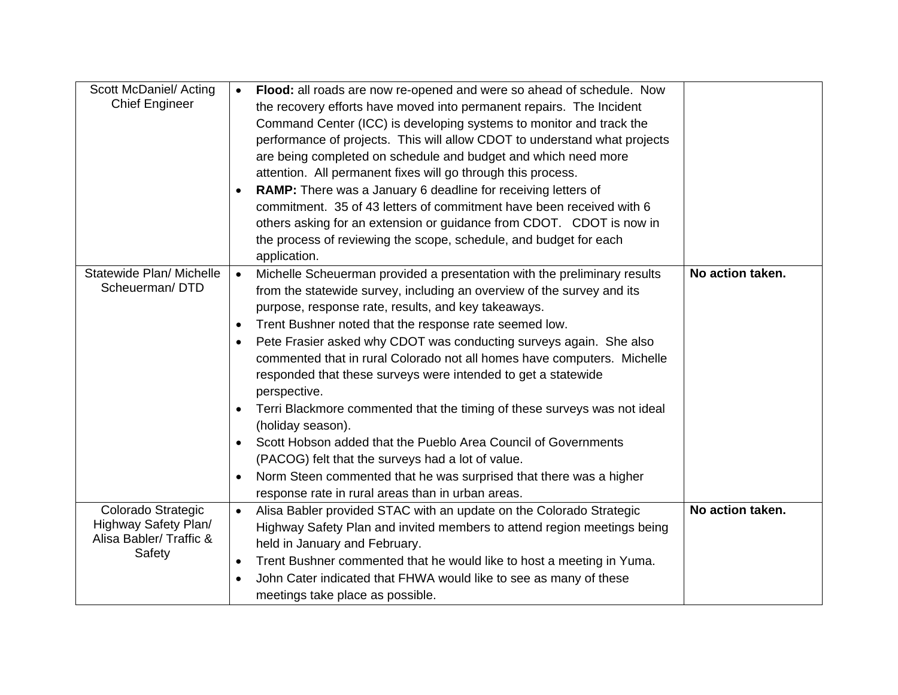| Scott McDaniel/ Acting   | Flood: all roads are now re-opened and were so ahead of schedule. Now<br>$\bullet$    |                  |
|--------------------------|---------------------------------------------------------------------------------------|------------------|
| <b>Chief Engineer</b>    | the recovery efforts have moved into permanent repairs. The Incident                  |                  |
|                          | Command Center (ICC) is developing systems to monitor and track the                   |                  |
|                          | performance of projects. This will allow CDOT to understand what projects             |                  |
|                          | are being completed on schedule and budget and which need more                        |                  |
|                          | attention. All permanent fixes will go through this process.                          |                  |
|                          | RAMP: There was a January 6 deadline for receiving letters of<br>$\bullet$            |                  |
|                          | commitment. 35 of 43 letters of commitment have been received with 6                  |                  |
|                          | others asking for an extension or guidance from CDOT. CDOT is now in                  |                  |
|                          | the process of reviewing the scope, schedule, and budget for each                     |                  |
|                          | application.                                                                          |                  |
| Statewide Plan/ Michelle | Michelle Scheuerman provided a presentation with the preliminary results<br>$\bullet$ | No action taken. |
| Scheuerman/DTD           |                                                                                       |                  |
|                          | from the statewide survey, including an overview of the survey and its                |                  |
|                          | purpose, response rate, results, and key takeaways.                                   |                  |
|                          | Trent Bushner noted that the response rate seemed low.<br>$\bullet$                   |                  |
|                          | Pete Frasier asked why CDOT was conducting surveys again. She also<br>٠               |                  |
|                          | commented that in rural Colorado not all homes have computers. Michelle               |                  |
|                          | responded that these surveys were intended to get a statewide                         |                  |
|                          | perspective.                                                                          |                  |
|                          | Terri Blackmore commented that the timing of these surveys was not ideal<br>$\bullet$ |                  |
|                          | (holiday season).                                                                     |                  |
|                          | Scott Hobson added that the Pueblo Area Council of Governments<br>$\bullet$           |                  |
|                          | (PACOG) felt that the surveys had a lot of value.                                     |                  |
|                          | Norm Steen commented that he was surprised that there was a higher<br>٠               |                  |
|                          | response rate in rural areas than in urban areas.                                     |                  |
| Colorado Strategic       | Alisa Babler provided STAC with an update on the Colorado Strategic<br>$\bullet$      | No action taken. |
| Highway Safety Plan/     | Highway Safety Plan and invited members to attend region meetings being               |                  |
| Alisa Babler/ Traffic &  |                                                                                       |                  |
| Safety                   | held in January and February.                                                         |                  |
|                          | Trent Bushner commented that he would like to host a meeting in Yuma.<br>$\bullet$    |                  |
|                          | John Cater indicated that FHWA would like to see as many of these                     |                  |
|                          | meetings take place as possible.                                                      |                  |